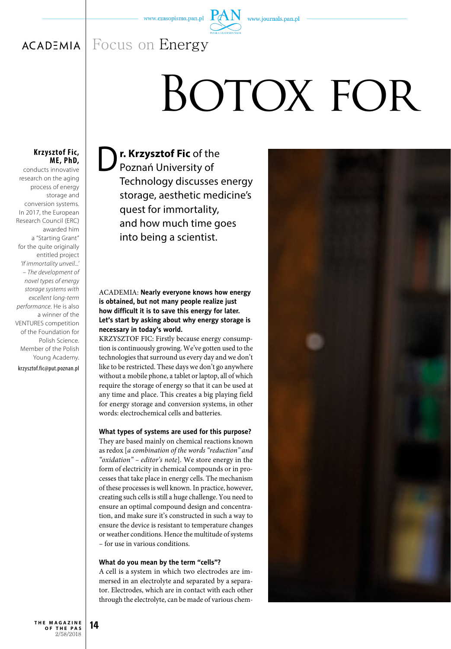www.journals.pan.pl

#### Focus on Energy**ACADEMIA**

# BOTOX FOR

# **Krzysztof Fic, ME, PhD,**

conducts innovative research on the aging process of energy storage and conversion systems. In 2017, the European Research Council (ERC) awarded him a "Starting Grant" for the quite originally entitled project *'If immortality unveil...' – The development of novel types of energy storage systems with excellent long-term performance*. He is also a winner of the VENTURES competition of the Foundation for Polish Science. Member of the Polish Young Academy.

krzysztof.fic@put.poznan.pl

**D r. Krzysztof Fic** of the Poznań University of Technology discusses energy storage, aesthetic medicine's quest for immortality, and how much time goes into being a scientist.

# ACADEMIA: **Nearly everyone knows how energy is obtained, but not many people realize just how difficult it is to save this energy for later. Let's start by asking about why energy storage is necessary in today's world.**

KRZYSZTOF FIC: Firstly because energy consumption is continuously growing. We've gotten used to the technologies that surround us every day and we don't like to be restricted. These days we don't go anywhere without a mobile phone, a tablet or laptop, all of which require the storage of energy so that it can be used at any time and place. This creates a big playing field for energy storage and conversion systems, in other words: electrochemical cells and batteries.

#### **What types of systems are used for this purpose?**

They are based mainly on chemical reactions known as redox [*a combination of the words "reduction" and "oxidation" – editor's note*]. We store energy in the form of electricity in chemical compounds or in processes that take place in energy cells. The mechanism of these processes is well known. In practice, however, creating such cells is still a huge challenge. You need to ensure an optimal compound design and concentration, and make sure it's constructed in such a way to ensure the device is resistant to temperature changes or weather conditions. Hence the multitude of systems – for use in various conditions.

#### **What do you mean by the term "cells"?**

A cell is a system in which two electrodes are immersed in an electrolyte and separated by a separator. Electrodes, which are in contact with each other through the electrolyte, can be made of various chem-

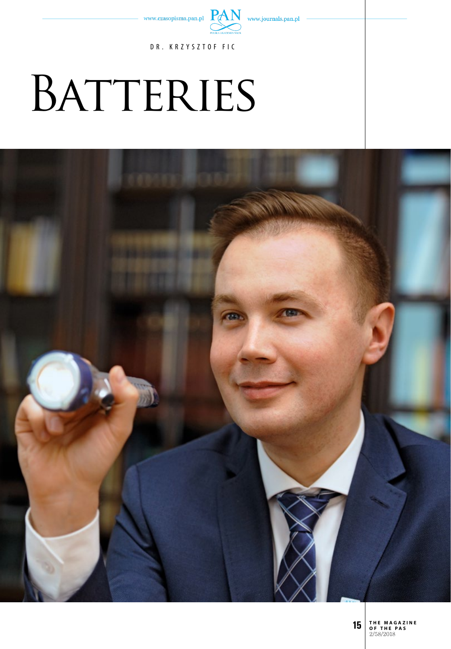

DR. KRZYSZTOF FIC

# BATTERIES



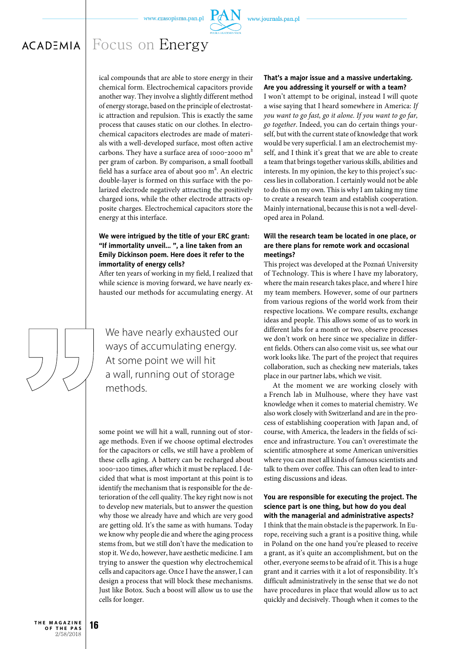

# Focus on Energy**ACADEMIA**

ical compounds that are able to store energy in their chemical form. Electrochemical capacitors provide another way. They involve a slightly different method of energy storage, based on the principle of electrostatic attraction and repulsion. This is exactly the same process that causes static on our clothes. In electrochemical capacitors electrodes are made of materials with a well-developed surface, most often active carbons. They have a surface area of 1000-2000  $m<sup>2</sup>$ per gram of carbon. By comparison, a small football field has a surface area of about 900 m<sup>2</sup>. An electric double-layer is formed on this surface with the polarized electrode negatively attracting the positively charged ions, while the other electrode attracts opposite charges. Electrochemical capacitors store the energy at this interface.

#### **We were intrigued by the title of your ERC grant: "If immortality unveil... ", a line taken from an Emily Dickinson poem. Here does it refer to the immortality of energy cells?**

After ten years of working in my field, I realized that while science is moving forward, we have nearly exhausted our methods for accumulating energy. At

We have nearly exhausted our ways of accumulating energy. At some point we will hit a wall, running out of storage methods.

some point we will hit a wall, running out of storage methods. Even if we choose optimal electrodes for the capacitors or cells, we still have a problem of these cells aging. A battery can be recharged about 1000-1200 times, after which it must be replaced. I decided that what is most important at this point is to identify the mechanism that is responsible for the deterioration of the cell quality. The key right now is not to develop new materials, but to answer the question why those we already have and which are very good are getting old. It's the same as with humans. Today we know why people die and where the aging process stems from, but we still don't have the medication to stop it. We do, however, have aesthetic medicine. I am trying to answer the question why electrochemical cells and capacitors age. Once I have the answer, I can design a process that will block these mechanisms. Just like Botox. Such a boost will allow us to use the cells for longer.

#### **That's a major issue and a massive undertaking. Are you addressing it yourself or with a team?**

I won't attempt to be original, instead I will quote a wise saying that I heard somewhere in America: *If you want to go fast, go it alone. If you want to go far, go together*. Indeed, you can do certain things yourself, but with the current state of knowledge that work would be very superficial. I am an electrochemist myself, and I think it's great that we are able to create a team that brings together various skills, abilities and interests. In my opinion, the key to this project's success lies in collaboration. I certainly would not be able to do this on my own. This is why I am taking my time to create a research team and establish cooperation. Mainly international, because this is not a well-developed area in Poland.

#### **Will the research team be located in one place, or are there plans for remote work and occasional meetings?**

This project was developed at the Poznań University of Technology. This is where I have my laboratory, where the main research takes place, and where I hire my team members. However, some of our partners from various regions of the world work from their respective locations. We compare results, exchange ideas and people. This allows some of us to work in different labs for a month or two, observe processes we don't work on here since we specialize in different fields. Others can also come visit us, see what our work looks like. The part of the project that requires collaboration, such as checking new materials, takes place in our partner labs, which we visit.

At the moment we are working closely with a French lab in Mulhouse, where they have vast knowledge when it comes to material chemistry. We also work closely with Switzerland and are in the process of establishing cooperation with Japan and, of course, with America, the leaders in the fields of science and infrastructure. You can't overestimate the scientific atmosphere at some American universities where you can meet all kinds of famous scientists and talk to them over coffee. This can often lead to interesting discussions and ideas.

# **You are responsible for executing the project. The science part is one thing, but how do you deal with the managerial and administrative aspects?**

I think that the main obstacle is the paperwork. In Europe, receiving such a grant is a positive thing, while in Poland on the one hand you're pleased to receive a grant, as it's quite an accomplishment, but on the other, everyone seems to be afraid of it. This is a huge grant and it carries with it a lot of responsibility. It's difficult administratively in the sense that we do not have procedures in place that would allow us to act quickly and decisively. Though when it comes to the

**16 t h e m a g a z i n e o f t h e p a s** 2/58/2018